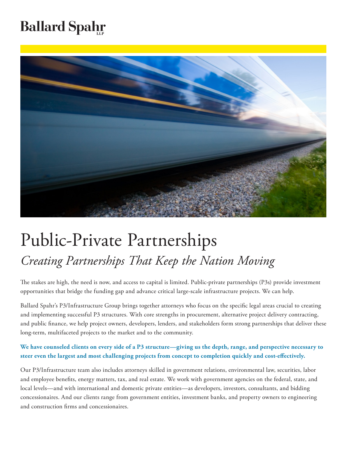## **Ballard Spahr**



# Public-Private Partnerships *Creating Partnerships That Keep the Nation Moving*

The stakes are high, the need is now, and access to capital is limited. Public-private partnerships (P3s) provide investment opportunities that bridge the funding gap and advance critical large-scale infrastructure projects. We can help.

Ballard Spahr's P3/Infrastructure Group brings together attorneys who focus on the specific legal areas crucial to creating and implementing successful P3 structures. With core strengths in procurement, alternative project delivery contracting, and public finance, we help project owners, developers, lenders, and stakeholders form strong partnerships that deliver these long-term, multifaceted projects to the market and to the community.

**We have counseled clients on every side of a P3 structure—giving us the depth, range, and perspective necessary to steer even the largest and most challenging projects from concept to completion quickly and cost-effectively.** 

Our P3/Infrastructure team also includes attorneys skilled in government relations, environmental law, securities, labor and employee benefits, energy matters, tax, and real estate. We work with government agencies on the federal, state, and local levels—and with international and domestic private entities—as developers, investors, consultants, and bidding concessionaires. And our clients range from government entities, investment banks, and property owners to engineering and construction firms and concessionaires.